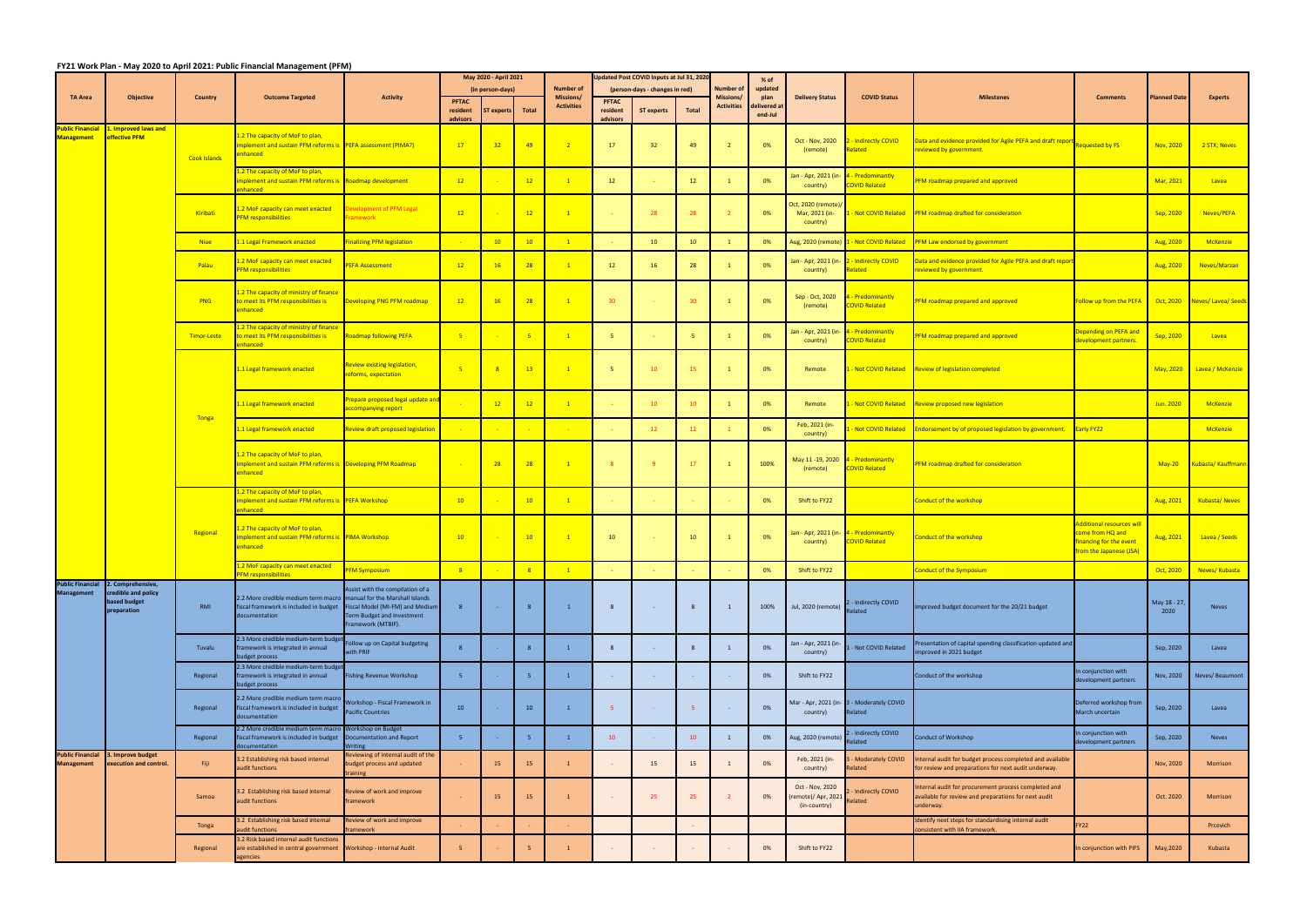Tonga

|                                              |                                             | <b>Country</b>      | <b>Outcome Targeted</b>                                                                                                        | <b>Activity</b>                                                                     | May 2020 - April 2021 |                  |                 |                                      |                 | Updated Post COVID Inputs at Jul 31, 2020 |                 |                                      | % of                    |                                                    |                                                            |                                                                                                                   |                                                                                                         | <b>Planned Date</b>  | <b>Experts</b>             |
|----------------------------------------------|---------------------------------------------|---------------------|--------------------------------------------------------------------------------------------------------------------------------|-------------------------------------------------------------------------------------|-----------------------|------------------|-----------------|--------------------------------------|-----------------|-------------------------------------------|-----------------|--------------------------------------|-------------------------|----------------------------------------------------|------------------------------------------------------------|-------------------------------------------------------------------------------------------------------------------|---------------------------------------------------------------------------------------------------------|----------------------|----------------------------|
| <b>TA Area</b>                               | <b>Objective</b>                            |                     |                                                                                                                                |                                                                                     | <b>PFTAC</b>          | (in person-days) |                 | <b>Number of</b><br><b>Missions/</b> | <b>PFTAC</b>    | (person-days - changes in red)            |                 | <b>Number of</b><br><b>Missions/</b> | updated<br>plan         | <b>Delivery Status</b>                             | <b>COVID Status</b>                                        | <b>Milestones</b>                                                                                                 | <b>Comments</b>                                                                                         |                      |                            |
|                                              |                                             |                     |                                                                                                                                |                                                                                     | resident              | T experts        | Total           | <b>Activities</b>                    | resident        | <b>ST experts</b>                         | <b>Total</b>    | <b>Activities</b>                    | delivered at<br>end-Jul |                                                    |                                                            |                                                                                                                   |                                                                                                         |                      |                            |
| Public Financial<br><b>Management</b>        | 1. Improved laws and<br>effective PFM       |                     | 1.2 The capacity of MoF to plan,                                                                                               |                                                                                     | advisors              |                  |                 |                                      | advisors        |                                           |                 |                                      |                         | Oct - Nov, 2020                                    | - Indirectly COVID                                         | Data and evidence provided for Agile PEFA and draft report Requested by FS                                        |                                                                                                         |                      |                            |
|                                              |                                             | <b>Cook Islands</b> | mplement and sustain PFM reforms is PEFA assessment (PIMA?)<br>enhanced                                                        |                                                                                     | 17                    | 32 <sub>2</sub>  | 49              | $\sqrt{2}$                           | 17              | 32                                        | 49              | $\overline{2}$                       | 0%                      | (remote)                                           | elated                                                     | eviewed by government.                                                                                            |                                                                                                         | Nov, 2020            | 2 STX; Neves               |
|                                              |                                             |                     | 1.2 The capacity of MoF to plan,<br>mplement and sustain PFM reforms is Roadmap development<br>enhanced a                      |                                                                                     | 12                    |                  | 12              | $\overline{1}$                       | 12              |                                           | 12              | $\mathbf{1}$                         | 0%                      | Jan - Apr, 2021 (in-<br>country)                   | - Predominantly<br><b>COVID Related</b>                    | PFM roadmap prepared and approved                                                                                 |                                                                                                         | Mar, 2021            | Lavea                      |
|                                              |                                             | Kiribati            | 1.2 MoF capacity can meet enacted<br><b>PFM</b> responsibilities                                                               | evelopment of PFM Legal<br>ramework                                                 | 12                    |                  | 12              | $\overline{1}$                       | $\sim$          | 28                                        | 28              |                                      | 0%                      | Oct, 2020 (remote)/<br>Mar, 2021 (in-<br>country)  |                                                            | - Not COVID Related PFM roadmap drafted for consideration                                                         |                                                                                                         | Sep, 2020            | Neves/PEFA                 |
|                                              |                                             | <b>Niue</b>         | 1.1 Legal Framework enacted                                                                                                    | inalizing PFM legislation                                                           |                       | 10               | 10 <sup>°</sup> | $\vert 1 \vert$                      | $\sim$          | 10                                        | 10 <sup>°</sup> |                                      | 0%                      |                                                    | Aug, 2020 (remote) 1 - Not COVID Related                   | PFM Law endorsed by government                                                                                    |                                                                                                         | Aug, 2020            | <b>McKenzie</b>            |
|                                              |                                             | Palau               | 1.2 MoF capacity can meet enacted<br><b>PFM responsibilities</b>                                                               | <b>EFA Assessment</b>                                                               | 12                    | 16               | 28              | $\overline{1}$                       | 12              | 16                                        | 28              |                                      | 0%                      | country)                                           | Jan - Apr, 2021 (in- 2 - Indirectly COVID<br>elated        | ata and evidence provided for Agile PEFA and draft repor<br>eviewed by government.                                |                                                                                                         | Aug, 2020            | Neves/Marzan               |
|                                              |                                             | PNG                 | 1.2 The capacity of ministry of finance<br>to meet its PFM responsibilities is<br>enhanced                                     | Developing PNG PFM roadmap                                                          | 12                    | 16               | 28              | $\mathbf{1}$                         | 30 <sub>2</sub> |                                           | 30 <sup>°</sup> |                                      | 0%                      | Sep - Oct, 2020<br>(remote)                        | - Predominantly<br><b>COVID Related</b>                    | PFM roadmap prepared and approved                                                                                 | Follow up from the PEFA                                                                                 |                      | Oct, 2020 Neves/Lavea/Seed |
|                                              |                                             | Timor-Leste         | 1.2 The capacity of ministry of finance<br>to meet its PFM responsibilities is<br>enhanced                                     | Roadmap following PEFA                                                              | $-5$                  |                  |                 | $\mathbf{1}$                         | 5 <sub>1</sub>  |                                           | 5 <sup>1</sup>  | $\overline{1}$                       | 0%                      | Jan - Apr, 2021 (in<br>country)                    | - Predominantly<br><b>COVID Related</b>                    | <b>PFM roadmap prepared and approved</b>                                                                          | Depending on PEFA and<br>levelopment partners.                                                          | Sep, 2020            | Lavea                      |
|                                              |                                             | <b>Tonga</b>        | 1.1 Legal framework enacted                                                                                                    | <u>Review existing legislation,</u><br>eforms, expectation                          | $-5$                  |                  | 13              | $\overline{1}$                       | 5 <sup>5</sup>  | 10                                        | 15              |                                      | 0%                      | Remote                                             |                                                            | Not COVID Related Review of legislation completed                                                                 |                                                                                                         |                      | May, 2020 Lavea / McKenzie |
|                                              |                                             |                     | 1.1 Legal framework enacted                                                                                                    | Prepare proposed legal update and<br>accompanying report                            |                       | 12               | 12              | $\overline{1}$                       | $\sim$          | 10 <sup>°</sup>                           | 10              | -1                                   | 0%                      | Remote                                             |                                                            | - Not COVID Related Review proposed new legislation                                                               |                                                                                                         | Jun. 2020            | <b>McKenzie</b>            |
|                                              |                                             |                     | 1.1 Legal framework enacted                                                                                                    | <b>Review draft proposed legislation</b>                                            |                       |                  |                 |                                      | <b>Sec</b>      | 12 <sup>2</sup>                           | 12              |                                      | 0%                      | Feb, 2021 (in-<br>country)                         | Not COVID Related                                          | <b>Endorsement by of proposed legislation by government.</b>                                                      | <b>Early FY22</b>                                                                                       |                      | <b>McKenzie</b>            |
|                                              |                                             |                     | 1.2 The capacity of MoF to plan,<br>mplement and sustain PFM reforms is Developing PFM Roadmap<br>enhanced                     |                                                                                     |                       | 28               | 28              | $\overline{1}$                       | 8 <sup>°</sup>  | -9                                        | 17              | $\overline{1}$                       | 100%                    | (remote)                                           | May 11 -19, 2020 4 - Predominantly<br><b>COVID Related</b> | PFM roadmap drafted for consideration                                                                             |                                                                                                         |                      | May-20 Kubasta/Kauffmar    |
|                                              |                                             | Regional            | L.2 The capacity of MoF to plan,<br>mplement and sustain PFM reforms is PEFA Workshop<br>enhanced a                            |                                                                                     | 10                    |                  | 10              | $\overline{1}$                       | $\sim$          |                                           |                 |                                      | 0%                      | Shift to FY22                                      |                                                            | Conduct of the workshop                                                                                           |                                                                                                         | Aug, 2021            | Kubasta/Neves              |
|                                              |                                             |                     | 1.2 The capacity of MoF to plan,<br>mplement and sustain PFM reforms is PIMA Workshop<br>enhanced                              |                                                                                     | 10                    |                  | 10              | $\overline{1}$                       | 10              |                                           | 10              |                                      | 0%                      | Jan - Apr, 2021 (in- 4 - Predominantly<br>country) | <b>COVID Related</b>                                       | Conduct of the workshop                                                                                           | dditional resources wil<br>come from HQ and<br>inancing for the event<br><b>from the Japanese (JSA)</b> | Aug, 2021            | Lavea / Seeds              |
|                                              |                                             |                     | 1.2 MoF capacity can meet enacted<br><b>PFM responsibilities</b>                                                               | <b>PFM Symposium</b>                                                                | 8                     |                  |                 | $\mathbf{1}$                         |                 |                                           |                 |                                      | 0%                      | Shift to FY22                                      |                                                            | <b>Conduct of the Symposium</b>                                                                                   |                                                                                                         | Oct, 2020            | Neves/Kubasta              |
| <b>Public Financial</b><br><b>Management</b> | 2. Comprehensive,<br>credible and policy    |                     |                                                                                                                                | Assist with the compilation of a                                                    |                       |                  |                 |                                      |                 |                                           |                 |                                      |                         |                                                    |                                                            |                                                                                                                   |                                                                                                         |                      |                            |
|                                              | based budget<br>preparation                 | RMI                 | 2.2 More credible medium term macro manual for the Marshall Islands<br>fiscal framework is included in budget<br>documentation | Fiscal Model (MI-FM) and Medium<br>Term Budget and Investment<br>Framework (MTBIF). | 8                     | <b>Contract</b>  |                 | $\mathbf{1}$                         | 8               |                                           | 8               | $\blacksquare$                       | 100%                    | Jul, 2020 (remote)                                 | 2 - Indirectly COVID<br>elated                             | Improved budget document for the 20/21 budget                                                                     |                                                                                                         | May 18 - 27,<br>2020 | Neves                      |
|                                              |                                             | Tuvalu              | 2.3 More credible medium-term budge<br>framework is integrated in annual<br>udget process                                      | ollow up on Capital budgeting<br>with PRIF                                          |                       |                  |                 | $\mathbf{1}$                         | $\mathbf{8}$    |                                           | 8               | $\overline{1}$                       | 0%                      | Jan - Apr, 2021 (in<br>country)                    | - Not COVID Related                                        | Presentation of capital spending classification updated and<br>mproved in 2021 budget                             |                                                                                                         | Sep, 2020            | Lavea                      |
|                                              |                                             | Regional            | 2.3 More credible medium-term budget<br>framework is integrated in annual<br>oudget process                                    | <b>Fishing Revenue Workshop</b>                                                     | -5                    |                  |                 | $\mathbf{1}$                         | $\sim$          |                                           | $\sim$ $-$      |                                      | 0%                      | Shift to FY22                                      |                                                            | Conduct of the workshop                                                                                           | In conjunction with<br>development partners                                                             | Nov, 2020            | Neves/Beaumont             |
|                                              |                                             | Regional            | 2.2 More credible medium term macro<br>fiscal framework is included in budget<br>documentation                                 | Workshop - Fiscal Framework in<br><b>Pacific Countries</b>                          | 10                    |                  | 10              | $\mathbf{1}$                         | 5 <sub>1</sub>  |                                           | 5 <sup>2</sup>  |                                      | 0%                      | country)                                           | Mar - Apr, 2021 (in- 3 - Moderately COVID<br>Related       |                                                                                                                   | Deferred workshop from<br>March uncertain                                                               | Sep, 2020            | Lavea                      |
|                                              |                                             | Regional            | 2.2 More credible medium term macro Workshop on Budget<br>fiscal framework is included in budget<br>locumentation              | Documentation and Report<br>Vriting                                                 | -5                    |                  |                 | $\mathbf{1}$                         | 10              |                                           | 10              |                                      | 0%                      | Aug, 2020 (remote)                                 | - Indirectly COVID<br>elated                               | Conduct of Workshop                                                                                               | In conjunction with<br>development partners                                                             | Sep, 2020            | Neves                      |
| <b>Public Financial</b><br><b>Management</b> | 3. Improve budget<br>execution and control. | Fiji                | 3.2 Establishing risk based internal<br>audit functions                                                                        | Reviewing of internal audit of the<br>budget process and updated<br>raining         |                       | 15               | 15              |                                      | $\sim$          | 15                                        | 15              |                                      | 0%                      | Feb, 2021 (in-<br>country)                         | - Moderately COVID<br>elated                               | Internal audit for budget process completed and available<br>for review and preparations for next audit underway. |                                                                                                         | Nov, 2020            | Morrison                   |
|                                              |                                             | Samoa               | 3.2 Establishing risk based internal                                                                                           | Review of work and improve                                                          |                       | 15               | 15              |                                      |                 |                                           | 25              |                                      | 0%                      | Oct - Nov, 2020<br>remote)/ Apr, 202:              | - Indirectly COVID                                         | Internal audit for procurement process completed and<br>available for review and preparations for next audit      |                                                                                                         | Oct. 2020            | Morrison                   |

3.2 Establishing risk based internal audit functions

zencies

Regional

3.2 Risk based internal audit functions are established in central government

audit functions

|                                         | May 2020 - April 2021 |                   |                |                                      |                          | Updated Post COVID Inputs at Jul 31, 2020 |                                |                                       |                 |                        |                                           |                                                                            |                                  |                      |                      |  |
|-----------------------------------------|-----------------------|-------------------|----------------|--------------------------------------|--------------------------|-------------------------------------------|--------------------------------|---------------------------------------|-----------------|------------------------|-------------------------------------------|----------------------------------------------------------------------------|----------------------------------|----------------------|----------------------|--|
|                                         |                       |                   |                |                                      |                          |                                           |                                | Number of                             | % of            |                        |                                           |                                                                            |                                  |                      |                      |  |
| <b>Activity</b>                         |                       | (in person-days)  |                | <b>Number of</b><br><b>Missions/</b> |                          |                                           | (person-days - changes in red) |                                       | updated<br>plan | <b>Delivery Status</b> | <b>COVID Status</b>                       | <b>Milestones</b>                                                          | <b>Comments</b>                  | <b>Planned Date</b>  | <b>Experts</b>       |  |
|                                         | <b>PFTAC</b>          |                   |                | <b>Activities</b>                    | <b>PFTAC</b>             |                                           |                                | <b>Missions/</b><br><b>Activities</b> | delivered at    |                        |                                           |                                                                            |                                  |                      |                      |  |
|                                         | resident<br>advisors  | <b>ST experts</b> | <b>Total</b>   |                                      | resident<br>advisors     | <b>ST experts</b><br><b>Total</b>         |                                |                                       | end-Jul         |                        |                                           |                                                                            |                                  |                      |                      |  |
|                                         |                       |                   |                |                                      |                          |                                           |                                |                                       |                 |                        |                                           |                                                                            |                                  |                      |                      |  |
|                                         |                       |                   |                |                                      |                          |                                           |                                |                                       |                 | Oct - Nov, 2020        | 2 - Indirectly COVID                      | Data and evidence provided for Agile PEFA and draft report Requested by FS |                                  |                      |                      |  |
| PEFA assessment (PIMA?)                 | 17                    | 32                | 49             | $\overline{2}$                       | 17                       | 32                                        | 49                             | $\overline{2}$                        | 0%              | (remote)               | Related                                   | reviewed by government.                                                    |                                  | Nov, 2020            | 2 STX; Neves         |  |
|                                         |                       |                   |                |                                      |                          |                                           |                                |                                       |                 |                        |                                           |                                                                            |                                  |                      |                      |  |
|                                         |                       |                   |                |                                      |                          |                                           |                                |                                       |                 |                        |                                           |                                                                            |                                  |                      |                      |  |
| Roadmap development                     | 12                    | - 1               | 12             | $\mathbf{1}$                         | 12                       | $\sim$                                    | 12                             | $\mathbf{1}$                          | 0%              | Jan - Apr, 2021 (in-   | 4 - Predominantly                         | <b>PFM roadmap prepared and approved</b>                                   |                                  | Mar, 2021            | Lavea                |  |
|                                         |                       |                   |                |                                      |                          |                                           |                                |                                       |                 | country)               | <b>COVID Related</b>                      |                                                                            |                                  |                      |                      |  |
|                                         |                       |                   |                |                                      |                          |                                           |                                |                                       |                 |                        |                                           |                                                                            |                                  |                      |                      |  |
| Development of PFM Legal                |                       |                   |                |                                      |                          |                                           |                                |                                       |                 | Oct, 2020 (remote)/    |                                           |                                                                            |                                  |                      |                      |  |
| <b>Framework</b>                        | 12                    | ÷.                | 12             | $\vert 1 \vert$                      | $\sim$                   | 28                                        | 28                             | $\overline{2}$                        | 0%              | Mar, 2021 (in-         | - Not COVID Related                       | <b>PFM roadmap drafted for consideration</b>                               |                                  | Sep, 2020            | Neves/PEFA           |  |
|                                         |                       |                   |                |                                      |                          |                                           |                                |                                       |                 | country)               |                                           |                                                                            |                                  |                      |                      |  |
| <b>Finalizing PFM legislation</b>       |                       | 10                | 10             | $\mathbf{1}$                         | ۰                        | 10 <sup>°</sup>                           | 10                             | $\mathbf{1}$                          | 0%              | Aug, 2020 (remote)     | 1 - Not COVID Related                     | <b>PFM Law endorsed by government</b>                                      |                                  | Aug, 2020            | <b>McKenzie</b>      |  |
|                                         |                       |                   |                |                                      |                          |                                           |                                |                                       |                 |                        |                                           |                                                                            |                                  |                      |                      |  |
|                                         |                       |                   |                |                                      |                          |                                           |                                |                                       |                 | Jan - Apr, 2021 (in-   | 2 - Indirectly COVID                      | Data and evidence provided for Agile PEFA and draft report                 |                                  |                      |                      |  |
| <b>PEFA Assessment</b>                  | 12                    | 16                | 28             | $\vert 1 \vert$                      | 12                       | 16 <sup>°</sup>                           | 28                             | $\mathbf{1}$                          | 0%              | country)               | Related                                   | reviewed by government.                                                    |                                  | Aug, 2020            | Neves/Marzan         |  |
|                                         |                       |                   |                |                                      |                          |                                           |                                |                                       |                 |                        |                                           |                                                                            |                                  |                      |                      |  |
|                                         |                       |                   |                |                                      |                          |                                           |                                |                                       |                 |                        |                                           |                                                                            |                                  |                      |                      |  |
| Developing PNG PFM roadmap              | 12                    | 16                | 28             | $\mathbf{1}$                         | 30 <sub>o</sub>          | ×.                                        | 30                             | $\mathbf{1}$                          | 0%              | Sep - Oct, 2020        | 4 - Predominantly                         | <b>PFM roadmap prepared and approved</b>                                   | Follow up from the PEFA          | Oct, 2020            | Neves/Lavea/Seeds    |  |
|                                         |                       |                   |                |                                      |                          |                                           |                                |                                       |                 | (remote)               | <b>COVID Related</b>                      |                                                                            |                                  |                      |                      |  |
|                                         |                       |                   |                |                                      |                          |                                           |                                |                                       |                 |                        |                                           |                                                                            |                                  |                      |                      |  |
|                                         |                       |                   |                |                                      |                          |                                           |                                |                                       |                 | Jan - Apr, 2021 (in-   | 4 - Predominantly                         |                                                                            | Depending on PEFA and            |                      |                      |  |
| Roadmap following PEFA                  | 5 <sub>5</sub>        |                   | 5 <sup>°</sup> | $\vert 1 \vert$                      | 5 <sub>1</sub>           |                                           | 5 <sup>5</sup>                 | $\mathbf{1}$                          | 0%              | country)               | <b>COVID Related</b>                      | <b>PFM roadmap prepared and approved</b>                                   | development partners.            | Sep, 2020            | Lavea                |  |
|                                         |                       |                   |                |                                      |                          |                                           |                                |                                       |                 |                        |                                           |                                                                            |                                  |                      |                      |  |
| <b>Review existing legislation,</b>     |                       |                   |                |                                      |                          |                                           |                                |                                       |                 |                        |                                           |                                                                            |                                  |                      |                      |  |
| reforms, expectation                    | 5 <sub>5</sub>        | 8                 | 13             | $\mathbf{1}$                         | 5 <sub>1</sub>           | 10 <sup>°</sup>                           | 15                             | $\mathbf{1}$                          | 0%              | Remote                 | 1 - Not COVID Related                     | <b>Review of legislation completed</b>                                     |                                  | May, 2020            | Lavea / McKenzie     |  |
|                                         |                       |                   |                |                                      |                          |                                           |                                |                                       |                 |                        |                                           |                                                                            |                                  |                      |                      |  |
|                                         |                       |                   |                |                                      |                          |                                           |                                |                                       |                 |                        |                                           |                                                                            |                                  |                      |                      |  |
| Prepare proposed legal update and       |                       | 12                | 12             | $\vert 1 \vert$                      | $\sim$                   | 10 <sup>°</sup>                           | 10 <sup>°</sup>                | $\mathbf{1}$                          | 0%              | Remote                 | - Not COVID Related                       | <b>Review proposed new legislation</b>                                     |                                  | Jun. 2020            | <b>McKenzie</b>      |  |
| accompanying report                     |                       |                   |                |                                      |                          |                                           |                                |                                       |                 |                        |                                           |                                                                            |                                  |                      |                      |  |
|                                         |                       |                   |                |                                      |                          |                                           |                                |                                       |                 | Feb, 2021 (in-         |                                           |                                                                            |                                  |                      |                      |  |
| Review draft proposed legislation       | $\sim$                |                   |                |                                      | $\sim$                   | 12                                        | 12                             | $\mathbf{1}$                          | 0%              | country)               | - Not COVID Related                       | <b>Endorsement by of proposed legislation by government.</b>               | Early FY22                       |                      | <b>McKenzie</b>      |  |
|                                         |                       |                   |                |                                      |                          |                                           |                                |                                       |                 |                        |                                           |                                                                            |                                  |                      |                      |  |
|                                         |                       |                   |                |                                      |                          |                                           |                                |                                       |                 |                        |                                           |                                                                            |                                  |                      |                      |  |
| Developing PFM Roadmap                  |                       | 28                | 28             | $\mathbf{1}$                         | 8 <sup>°</sup>           | $\overline{9}$                            | 17                             | $\mathbf{1}$                          | 100%            | May 11 -19, 2020       | 4 - Predominantly<br><b>COVID Related</b> | PFM roadmap drafted for consideration                                      |                                  | $May-20$             | Kubasta/Kauffmann    |  |
|                                         |                       |                   |                |                                      |                          |                                           |                                |                                       |                 | (remote)               |                                           |                                                                            |                                  |                      |                      |  |
|                                         |                       |                   |                |                                      |                          |                                           |                                |                                       |                 |                        |                                           |                                                                            |                                  |                      |                      |  |
|                                         |                       |                   |                |                                      |                          |                                           |                                |                                       |                 |                        |                                           |                                                                            |                                  |                      |                      |  |
| PEFA Workshop                           | 10                    |                   | 10             | $\vert 1 \vert$                      | ÷.                       | ÷.                                        |                                |                                       | 0%              | Shift to FY22          |                                           | <b>Conduct of the workshop</b>                                             |                                  | Aug, 2021            | <b>Kubasta/Neves</b> |  |
|                                         |                       |                   |                |                                      |                          |                                           |                                |                                       |                 |                        |                                           |                                                                            |                                  |                      |                      |  |
|                                         |                       |                   |                |                                      |                          |                                           |                                |                                       |                 |                        |                                           |                                                                            | <b>Additional resources will</b> |                      |                      |  |
| PIMA Workshop                           | 10                    |                   | 10             | $\mathbf{1}$                         | 10                       | $\sim$                                    | 10 <sup>°</sup>                | $\mathbf{1}$                          | 0%              | Jan - Apr, 2021 (in-   | 4 - Predominantly                         | Conduct of the workshop                                                    | come from HQ and                 | Aug, 2021            | Lavea / Seeds        |  |
|                                         |                       |                   |                |                                      |                          |                                           |                                |                                       |                 | country)               | <b>COVID Related</b>                      |                                                                            | inancing for the event           |                      |                      |  |
|                                         |                       |                   |                |                                      |                          |                                           |                                |                                       |                 |                        |                                           |                                                                            | from the Japanese (JSA)          |                      |                      |  |
| <b>PFM Symposium</b>                    | 8                     |                   | 8              | $\mathbf{1}$                         |                          |                                           |                                |                                       | 0%              | Shift to FY22          |                                           | <b>Conduct of the Symposium</b>                                            |                                  | Oct, 2020            | Neves/ Kubasta       |  |
|                                         |                       |                   |                |                                      |                          |                                           |                                |                                       |                 |                        |                                           |                                                                            |                                  |                      |                      |  |
| Assist with the compilation of a        |                       |                   |                |                                      |                          |                                           |                                |                                       |                 |                        |                                           |                                                                            |                                  |                      |                      |  |
| manual for the Marshall Islands         |                       |                   |                |                                      |                          |                                           |                                |                                       |                 |                        |                                           |                                                                            |                                  |                      |                      |  |
| Fiscal Model (MI-FM) and Medium         | 8                     | ٠                 | 8              | 1                                    | 8                        | $\overline{\phantom{a}}$                  | 8                              | 1                                     | 100%            | Jul, 2020 (remote)     | 2 - Indirectly COVID<br>Related           | Improved budget document for the 20/21 budget                              |                                  | May 18 - 27,<br>2020 | <b>Neves</b>         |  |
| Term Budget and Investment              |                       |                   |                |                                      |                          |                                           |                                |                                       |                 |                        |                                           |                                                                            |                                  |                      |                      |  |
| Framework (MTBIF).                      |                       |                   |                |                                      |                          |                                           |                                |                                       |                 |                        |                                           |                                                                            |                                  |                      |                      |  |
| Follow up on Capital budgeting          |                       |                   |                |                                      |                          |                                           |                                |                                       |                 | Jan - Apr, 2021 (in-   |                                           | Presentation of capital spending classification updated and                |                                  |                      |                      |  |
| with PRIF                               | 8                     | ٠                 | 8              | $\mathbf{1}$                         | 8                        | ÷.                                        | 8                              | 1                                     | 0%              | country)               | - Not COVID Related                       | improved in 2021 budget                                                    |                                  | Sep, 2020            | Lavea                |  |
|                                         |                       |                   |                |                                      |                          |                                           |                                |                                       |                 |                        |                                           |                                                                            |                                  |                      |                      |  |
|                                         | 5                     | ×                 | 5 <sub>1</sub> | $\overline{1}$                       | $\sim$                   | ÷.                                        | ٠                              | $\sim$                                | 0%              | Shift to FY22          |                                           | Conduct of the workshop                                                    | In conjunction with              | Nov, 2020            | Neves/Beaumont       |  |
| Fishing Revenue Workshop                |                       |                   |                |                                      |                          |                                           |                                |                                       |                 |                        |                                           |                                                                            | development partners             |                      |                      |  |
|                                         |                       |                   |                |                                      |                          |                                           |                                |                                       |                 |                        |                                           |                                                                            |                                  |                      |                      |  |
| Workshop - Fiscal Framework in          |                       |                   |                |                                      |                          |                                           |                                |                                       |                 | Mar - Apr, 2021 (in-   | 3 - Moderately COVID                      |                                                                            | Deferred workshop from           |                      |                      |  |
| <b>Pacific Countries</b>                | 10                    | ×,                | 10             | $\mathbf{1}$                         | 5 <sub>1</sub>           | $\sim$                                    | $5^{\circ}$                    | $\sim$                                | 0%              | country)               | Related                                   |                                                                            | March uncertain                  | Sep, 2020            | Lavea                |  |
|                                         |                       |                   |                |                                      |                          |                                           |                                |                                       |                 |                        |                                           |                                                                            |                                  |                      |                      |  |
| Workshop on Budget                      | 5                     | ×,                | 5 <sub>1</sub> | $\mathbf{1}$                         | 10                       | ÷.                                        | 10                             | 1                                     | 0%              | Aug, 2020 (remote)     | - Indirectly COVID                        | <b>Conduct of Workshop</b>                                                 | In conjunction with              | Sep, 2020            | <b>Neves</b>         |  |
| Documentation and Report<br>Writing     |                       |                   |                |                                      |                          |                                           |                                |                                       |                 |                        | Related                                   |                                                                            | development partners             |                      |                      |  |
| Reviewing of internal audit of the      |                       |                   |                |                                      |                          |                                           |                                |                                       |                 |                        |                                           |                                                                            |                                  |                      |                      |  |
| budget process and updated              | ÷                     | 15                | 15             | $\mathbf{1}$                         | $\overline{\phantom{a}}$ | 15                                        | 15                             | 1                                     | 0%              | Feb, 2021 (in-         | - Moderately COVID<br>Related             | nternal audit for budget process completed and available                   |                                  | Nov, 2020            | Morrison             |  |
| training                                |                       |                   |                |                                      |                          |                                           |                                |                                       |                 | country)               |                                           | for review and preparations for next audit underway.                       |                                  |                      |                      |  |
|                                         |                       |                   |                |                                      |                          |                                           |                                |                                       |                 | Oct - Nov, 2020        |                                           | Internal audit for procurement process completed and                       |                                  |                      |                      |  |
| Review of work and improve              |                       | 15                | 15             | $\mathbf{1}$                         | $\overline{\phantom{a}}$ | 25                                        | 25                             | $\overline{2}$                        | 0%              | remote)/ Apr, 2021     | - Indirectly COVID                        | available for review and preparations for next audit                       |                                  | Oct. 2020            | Morrison             |  |
| framework                               |                       |                   |                |                                      |                          |                                           |                                |                                       |                 | (in-country)           | Related                                   | underway.                                                                  |                                  |                      |                      |  |
|                                         |                       |                   |                |                                      |                          |                                           |                                |                                       |                 |                        |                                           | Identify next steps for standardising internal audit                       |                                  |                      |                      |  |
| Review of work and improve<br>framework |                       |                   |                |                                      |                          |                                           |                                |                                       |                 |                        |                                           | consistent with IIA framework.                                             | <b>FY22</b>                      |                      | Prcevich             |  |
|                                         |                       |                   |                |                                      |                          |                                           |                                |                                       |                 |                        |                                           |                                                                            |                                  |                      |                      |  |
| Workshop - Internal Audit               | 5 <sub>5</sub>        | ÷.                | 5 <sub>1</sub> | $\mathbf{1}$                         | $\overline{\phantom{a}}$ | $\overline{\phantom{a}}$                  | $\overline{\phantom{a}}$       |                                       | 0%              | Shift to FY22          |                                           |                                                                            | In conjunction with PIFS         | May, 2020            | Kubasta              |  |
|                                         |                       |                   |                |                                      |                          |                                           |                                |                                       |                 |                        |                                           |                                                                            |                                  |                      |                      |  |

## **FY21 Work Plan ‐ May 2020 to April 2021: Public Financial Management (PFM)** ┓